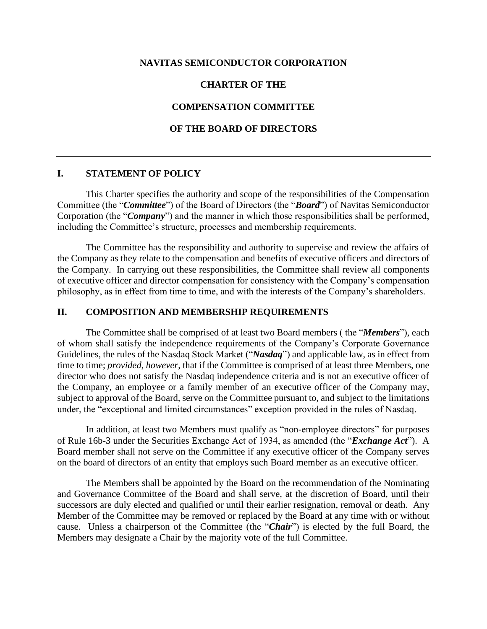## **NAVITAS SEMICONDUCTOR CORPORATION**

# **CHARTER OF THE**

# **COMPENSATION COMMITTEE**

## **OF THE BOARD OF DIRECTORS**

#### **I. STATEMENT OF POLICY**

This Charter specifies the authority and scope of the responsibilities of the Compensation Committee (the "*Committee*") of the Board of Directors (the "*Board*") of Navitas Semiconductor Corporation (the "*Company*") and the manner in which those responsibilities shall be performed, including the Committee's structure, processes and membership requirements.

The Committee has the responsibility and authority to supervise and review the affairs of the Company as they relate to the compensation and benefits of executive officers and directors of the Company. In carrying out these responsibilities, the Committee shall review all components of executive officer and director compensation for consistency with the Company's compensation philosophy, as in effect from time to time, and with the interests of the Company's shareholders.

# **II. COMPOSITION AND MEMBERSHIP REQUIREMENTS**

The Committee shall be comprised of at least two Board members ( the "*Members*"), each of whom shall satisfy the independence requirements of the Company's Corporate Governance Guidelines, the rules of the Nasdaq Stock Market ("*Nasdaq*") and applicable law, as in effect from time to time; *provided*, *however*, that if the Committee is comprised of at least three Members, one director who does not satisfy the Nasdaq independence criteria and is not an executive officer of the Company, an employee or a family member of an executive officer of the Company may, subject to approval of the Board, serve on the Committee pursuant to, and subject to the limitations under, the "exceptional and limited circumstances" exception provided in the rules of Nasdaq.

In addition, at least two Members must qualify as "non-employee directors" for purposes of Rule 16b-3 under the Securities Exchange Act of 1934, as amended (the "*Exchange Act*"). A Board member shall not serve on the Committee if any executive officer of the Company serves on the board of directors of an entity that employs such Board member as an executive officer.

The Members shall be appointed by the Board on the recommendation of the Nominating and Governance Committee of the Board and shall serve, at the discretion of Board, until their successors are duly elected and qualified or until their earlier resignation, removal or death. Any Member of the Committee may be removed or replaced by the Board at any time with or without cause. Unless a chairperson of the Committee (the "*Chair*") is elected by the full Board, the Members may designate a Chair by the majority vote of the full Committee.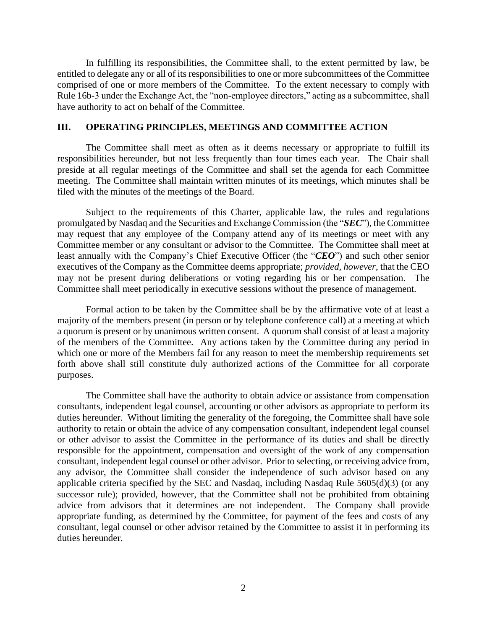In fulfilling its responsibilities, the Committee shall, to the extent permitted by law, be entitled to delegate any or all of its responsibilities to one or more subcommittees of the Committee comprised of one or more members of the Committee. To the extent necessary to comply with Rule 16b-3 under the Exchange Act, the "non-employee directors," acting as a subcommittee, shall have authority to act on behalf of the Committee.

## **III. OPERATING PRINCIPLES, MEETINGS AND COMMITTEE ACTION**

The Committee shall meet as often as it deems necessary or appropriate to fulfill its responsibilities hereunder, but not less frequently than four times each year. The Chair shall preside at all regular meetings of the Committee and shall set the agenda for each Committee meeting. The Committee shall maintain written minutes of its meetings, which minutes shall be filed with the minutes of the meetings of the Board.

Subject to the requirements of this Charter, applicable law, the rules and regulations promulgated by Nasdaq and the Securities and Exchange Commission (the "*SEC*"), the Committee may request that any employee of the Company attend any of its meetings or meet with any Committee member or any consultant or advisor to the Committee. The Committee shall meet at least annually with the Company's Chief Executive Officer (the "*CEO*") and such other senior executives of the Company as the Committee deems appropriate; *provided*, *however*, that the CEO may not be present during deliberations or voting regarding his or her compensation. The Committee shall meet periodically in executive sessions without the presence of management.

Formal action to be taken by the Committee shall be by the affirmative vote of at least a majority of the members present (in person or by telephone conference call) at a meeting at which a quorum is present or by unanimous written consent. A quorum shall consist of at least a majority of the members of the Committee. Any actions taken by the Committee during any period in which one or more of the Members fail for any reason to meet the membership requirements set forth above shall still constitute duly authorized actions of the Committee for all corporate purposes.

The Committee shall have the authority to obtain advice or assistance from compensation consultants, independent legal counsel, accounting or other advisors as appropriate to perform its duties hereunder. Without limiting the generality of the foregoing, the Committee shall have sole authority to retain or obtain the advice of any compensation consultant, independent legal counsel or other advisor to assist the Committee in the performance of its duties and shall be directly responsible for the appointment, compensation and oversight of the work of any compensation consultant, independent legal counsel or other advisor. Prior to selecting, or receiving advice from, any advisor, the Committee shall consider the independence of such advisor based on any applicable criteria specified by the SEC and Nasdaq, including Nasdaq Rule 5605(d)(3) (or any successor rule); provided, however, that the Committee shall not be prohibited from obtaining advice from advisors that it determines are not independent. The Company shall provide appropriate funding, as determined by the Committee, for payment of the fees and costs of any consultant, legal counsel or other advisor retained by the Committee to assist it in performing its duties hereunder.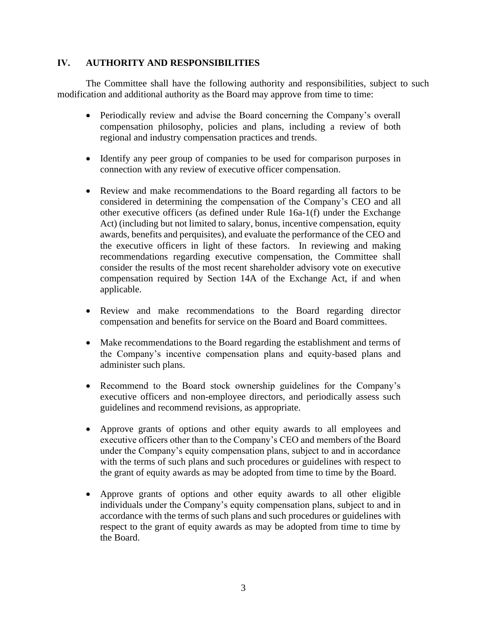# **IV. AUTHORITY AND RESPONSIBILITIES**

The Committee shall have the following authority and responsibilities, subject to such modification and additional authority as the Board may approve from time to time:

- Periodically review and advise the Board concerning the Company's overall compensation philosophy, policies and plans, including a review of both regional and industry compensation practices and trends.
- Identify any peer group of companies to be used for comparison purposes in connection with any review of executive officer compensation.
- Review and make recommendations to the Board regarding all factors to be considered in determining the compensation of the Company's CEO and all other executive officers (as defined under Rule 16a-1(f) under the Exchange Act) (including but not limited to salary, bonus, incentive compensation, equity awards, benefits and perquisites), and evaluate the performance of the CEO and the executive officers in light of these factors. In reviewing and making recommendations regarding executive compensation, the Committee shall consider the results of the most recent shareholder advisory vote on executive compensation required by Section 14A of the Exchange Act, if and when applicable.
- Review and make recommendations to the Board regarding director compensation and benefits for service on the Board and Board committees.
- Make recommendations to the Board regarding the establishment and terms of the Company's incentive compensation plans and equity-based plans and administer such plans.
- Recommend to the Board stock ownership guidelines for the Company's executive officers and non-employee directors, and periodically assess such guidelines and recommend revisions, as appropriate.
- Approve grants of options and other equity awards to all employees and executive officers other than to the Company's CEO and members of the Board under the Company's equity compensation plans, subject to and in accordance with the terms of such plans and such procedures or guidelines with respect to the grant of equity awards as may be adopted from time to time by the Board.
- Approve grants of options and other equity awards to all other eligible individuals under the Company's equity compensation plans, subject to and in accordance with the terms of such plans and such procedures or guidelines with respect to the grant of equity awards as may be adopted from time to time by the Board.